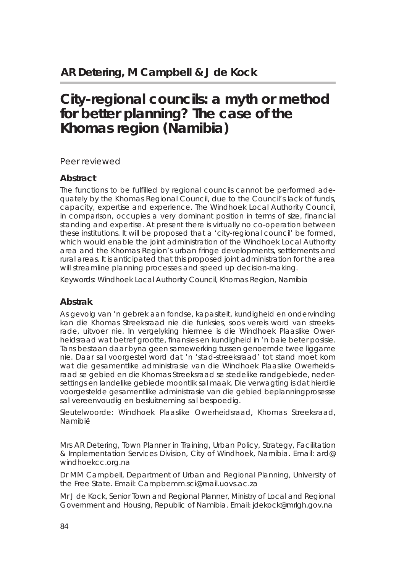# **City-regional councils: a myth or method for better planning? The case of the Khomas region (Namibia)**

#### *Peer reviewed*

#### **Abstract**

The functions to be fulfilled by regional councils cannot be performed adequately by the Khomas Regional Council, due to the Council's lack of funds, capacity, expertise and experience. The Windhoek Local Authority Council, in comparison, occupies a very dominant position in terms of size, financial standing and expertise. At present there is virtually no co-operation between these institutions. It will be proposed that a 'city-regional council' be formed, which would enable the joint administration of the Windhoek Local Authority area and the Khomas Region's urban fringe developments, settlements and rural areas. It is anticipated that this proposed joint administration for the area will streamline planning processes and speed up decision-making.

Keywords: Windhoek Local Authority Council, Khomas Region, Namibia

#### **Abstrak**

As gevolg van 'n gebrek aan fondse, kapasiteit, kundigheid en ondervinding kan die Khomas Streeksraad nie die funksies, soos vereis word van streeksrade, uitvoer nie. In vergelyking hiermee is die Windhoek Plaaslike Owerheidsraad wat betref grootte, finansies en kundigheid in 'n baie beter posisie. Tans bestaan daar byna geen samewerking tussen genoemde twee liggame nie. Daar sal voorgestel word dat 'n 'stad-streeksraad' tot stand moet kom wat die gesamentlike administrasie van die Windhoek Plaaslike Owerheidsraad se gebied en die Khomas Streeksraad se stedelike randgebiede, nedersettings en landelike gebiede moontlik sal maak. Die verwagting is dat hierdie voorgestelde gesamentlike administrasie van die gebied beplanningprosesse sal vereenvoudig en besluitneming sal bespoedig.

Sleutelwoorde: Windhoek Plaaslike Owerheidsraad, Khomas Streeksraad, Namibië

Mrs AR Detering, Town Planner in Training, Urban Policy, Strategy, Facilitation & Implementation Services Division, City of Windhoek, Namibia. Email: ard@ windhoekcc.org.na

Dr MM Campbell, Department of Urban and Regional Planning, University of the Free State. Email: Campbemm.sci@mail.uovs.ac.za

Mr J de Kock, Senior Town and Regional Planner, Ministry of Local and Regional Government and Housing, Republic of Namibia. Email: jdekock@mrlgh.gov.na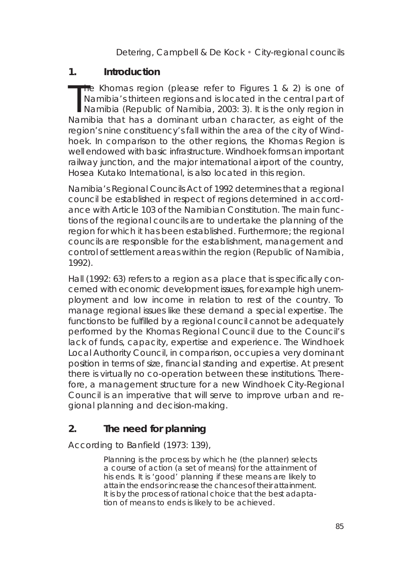### **1. Introduction**

The Khomas region (please refer to Figures 1 & 2) is one of<br>Namibia is thirteen regions and is located in the central part of<br>Namibia (Republic of Namibia, 2003: 3). It is the only region in<br>Namibia that has a dominant urb **The Khomas region (please refer to Figures 1 & 2) is one of** Namibia's thirteen regions and is located in the central part of Namibia that has a dominant urban character, as eight of the region's nine constituency's fall within the area of the city of Windhoek. In comparison to the other regions, the Khomas Region is well endowed with basic infrastructure. Windhoek forms an important railway junction, and the major international airport of the country. Hosea Kutako International, is also located in this region.

Namibia's Regional Councils Act of 1992 determines that a regional council be established in respect of regions determined in accordance with Article 103 of the Namibian Constitution. The main functions of the regional councils are to undertake the planning of the region for which it has been established. Furthermore; the regional councils are responsible for the establishment, management and control of settlement areas within the region (Republic of Namibia, 1992).

Hall (1992: 63) refers to a region as a place that is specifically concerned with economic development issues, for example high unemployment and low income in relation to rest of the country. To manage regional issues like these demand a special expertise. The functions to be fulfilled by a regional council cannot be adequately performed by the Khomas Regional Council due to the Council's lack of funds, capacity, expertise and experience. The Windhoek Local Authority Council, in comparison, occupies a very dominant position in terms of size, financial standing and expertise. At present there is virtually no co-operation between these institutions. Therefore, a management structure for a new Windhoek City-Regional Council is an imperative that will serve to improve urban and regional planning and decision-making.

**2. The need for planning**

According to Banfield (1973: 139),

*Planning is the process by which he (the planner) selects a course of action (a set of means) for the attainment of his ends. It is 'good' planning if these means are likely to attain the ends or increase the chances of their attainment. It is by the process of rational choice that the best adaptation of means to ends is likely to be achieved.*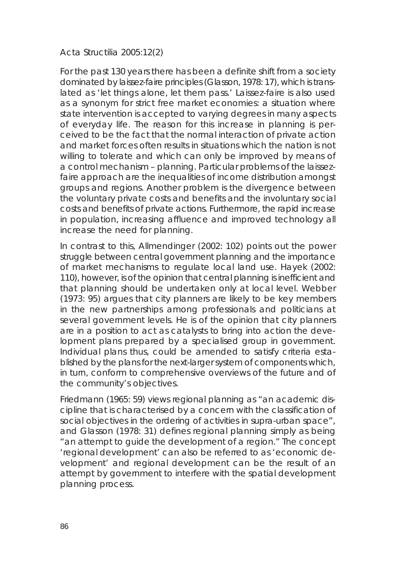For the past 130 years there has been a definite shift from a society dominated by *laissez-faire* principles (Glasson, 1978: 17), which is translated as 'let things alone, let them pass.' *Laissez-faire* is also used as a synonym for strict free market economies: a situation where state intervention is accepted to varying degrees in many aspects of everyday life. The reason for this increase in planning is perceived to be the fact that the normal interaction of private action and market forces often results in situations which the nation is not willing to tolerate and which can only be improved by means of a control mechanism – planning. Particular problems of the *laissezfaire* approach are the inequalities of income distribution amongst groups and regions. Another problem is the divergence between the voluntary private costs and benefits and the involuntary social costs and benefits of private actions. Furthermore, the rapid increase in population, increasing affluence and improved technology all increase the need for planning.

In contrast to this, Allmendinger (2002: 102) points out the power struggle between central government planning and the importance of market mechanisms to regulate local land use. Hayek (2002: 110), however, is of the opinion that central planning is inefficient and that planning should be undertaken only at local level. Webber (1973: 95) argues that city planners are likely to be key members in the new partnerships among professionals and politicians at several government levels. He is of the opinion that city planners are in a position to act as catalysts to bring into action the development plans prepared by a specialised group in government. Individual plans thus, could be amended to satisfy criteria established by the plans for the next-larger system of components which, in turn, conform to comprehensive overviews of the future and of the community's objectives.

Friedmann (1965: 59) views regional planning as "an academic discipline that is characterised by a concern with the classification of social objectives in the ordering of activities in supra-urban space", and Glasson (1978: 31) defines regional planning simply as being "an attempt to guide the development of a region." The concept 'regional development' can also be referred to as 'economic development' and regional development can be the result of an attempt by government to interfere with the spatial development planning process.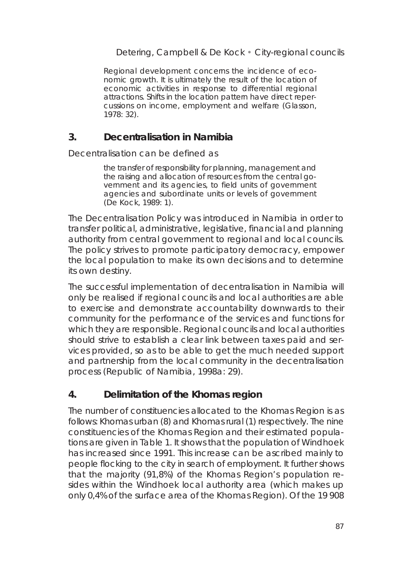*Regional development concerns the incidence of economic growth. It is ultimately the result of the location of economic activities in response to differential regional attractions. Shifts in the location pattern have direct repercussions on income, employment and welfare (Glasson, 1978: 32).*

### **3. Decentralisation in Namibia**

#### Decentralisation can be defined as

*the transfer of responsibility for planning, management and the raising and allocation of resources from the central government and its agencies, to field units of government agencies and subordinate units or levels of government (De Kock, 1989: 1).*

The Decentralisation Policy was introduced in Namibia in order to transfer political, administrative, legislative, financial and planning authority from central government to regional and local councils. The policy strives to promote participatory democracy, empower the local population to make its own decisions and to determine its own destiny.

The successful implementation of decentralisation in Namibia will only be realised if regional councils and local authorities are able to exercise and demonstrate accountability downwards to their community for the performance of the services and functions for which they are responsible. Regional councils and local authorities should strive to establish a clear link between taxes paid and services provided, so as to be able to get the much needed support and partnership from the local community in the decentralisation process (Republic of Namibia, 1998a: 29).

#### **4. Delimitation of the Khomas region**

The number of constituencies allocated to the Khomas Region is as follows: Khomas urban (8) and Khomas rural (1) respectively. The nine constituencies of the Khomas Region and their estimated populations are given in Table 1. It shows that the population of Windhoek has increased since 1991. This increase can be ascribed mainly to people flocking to the city in search of employment. It further shows that the majority (91,8%) of the Khomas Region's population resides within the Windhoek local authority area (which makes up only 0,4% of the surface area of the Khomas Region). Of the 19 908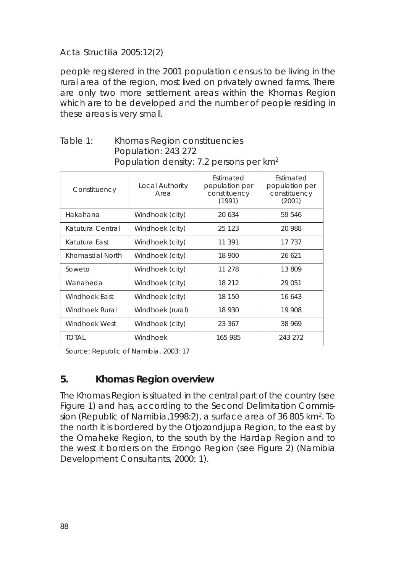people registered in the 2001 population census to be living in the rural area of the region, most lived on privately owned farms. There are only two more settlement areas within the Khomas Region which are to be developed and the number of people residing in these areas is very small.

| I opulation density. T. persons per kill |                         |                                                       |                                                       |
|------------------------------------------|-------------------------|-------------------------------------------------------|-------------------------------------------------------|
| Constituency                             | Local Authority<br>Area | Estimated<br>population per<br>constituency<br>(1991) | Estimated<br>population per<br>constituency<br>(2001) |
| Hakahana                                 | Windhoek (city)         | 20 634                                                | 59 546                                                |
| Katutura Central                         | Windhoek (city)         | 25 1 23                                               | 20 988                                                |
| Katutura East                            | Windhoek (city)         | 11 391                                                | 17 737                                                |
| Khomasdal North                          | Windhoek (city)         | 18 900                                                | 26 621                                                |
| Soweto                                   | Windhoek (city)         | 11 278                                                | 13809                                                 |
| Wanaheda                                 | Windhoek (city)         | 18 212                                                | 29 051                                                |
| Windhoek East                            | Windhoek (city)         | 18 150                                                | 16 643                                                |
| Windhoek Rural                           | Windhoek (rural)        | 18 930                                                | 19 908                                                |
| Windhoek West                            | Windhoek (city)         | 23 367                                                | 38 969                                                |
| TOTAL                                    | Windhoek                | 165 985                                               | 243 272                                               |

### Table 1: Khomas Region constituencies Population: 243 272 Population density: 7.2 persons per km<sup>2</sup>

Source: Republic of Namibia, 2003: 17

#### **5. Khomas Region overview**

The Khomas Region is situated in the central part of the country (see Figure 1) and has, according to the Second Delimitation Commission (Republic of Namibia,1998:2), a surface area of 36 805 km2. To the north it is bordered by the Otjozondjupa Region, to the east by the Omaheke Region, to the south by the Hardap Region and to the west it borders on the Erongo Region (see Figure 2) (Namibia Development Consultants, 2000: 1).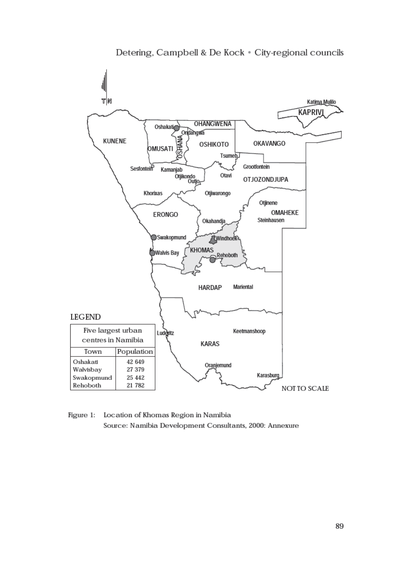

 $Figure 1$ : Location of Khomas Region in Namibia Source: Namibia Development Consultants, 2000: Annexure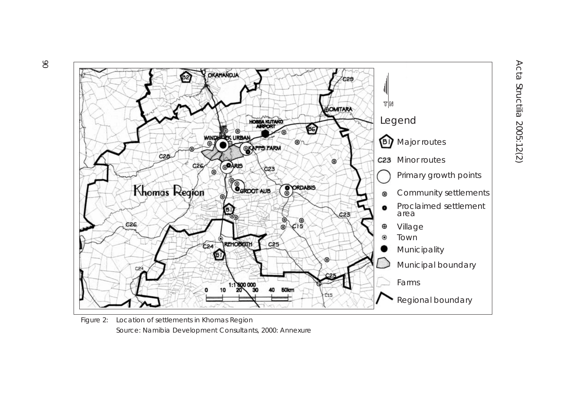

Figure 2: Location of settlements in Khomas Region Source: Namibia Development Consultants, 2000: Annexure

Acta Structilia 2005:12(2) Acta Structilia 2005:12(2)

90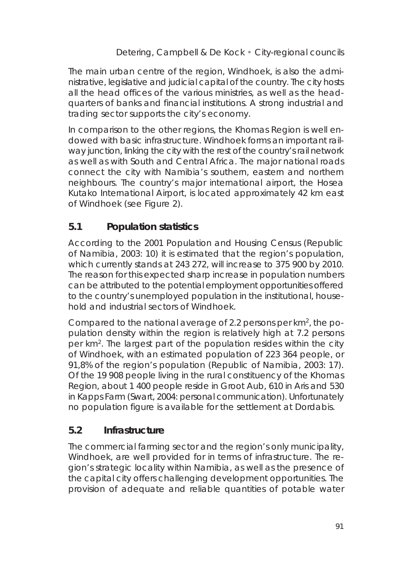The main urban centre of the region, Windhoek, is also the administrative, legislative and judicial capital of the country. The city hosts all the head offices of the various ministries, as well as the headquarters of banks and financial institutions. A strong industrial and trading sector supports the city's economy.

In comparison to the other regions, the Khomas Region is well endowed with basic infrastructure. Windhoek forms an important railway junction, linking the city with the rest of the country's rail network as well as with South and Central Africa. The major national roads connect the city with Namibia's southern, eastern and northern neighbours. The country's major international airport, the Hosea Kutako International Airport, is located approximately 42 km east of Windhoek (see Figure 2).

# **5.1 Population statistics**

According to the 2001 Population and Housing Census (Republic of Namibia, 2003: 10) it is estimated that the region's population, which currently stands at 243 272, will increase to 375 900 by 2010. The reason for this expected sharp increase in population numbers can be attributed to the potential employment opportunities offered to the country's unemployed population in the institutional, household and industrial sectors of Windhoek.

Compared to the national average of 2.2 persons per  $km^2$ , the population density within the region is relatively high at 7.2 persons per km2. The largest part of the population resides within the city of Windhoek, with an estimated population of 223 364 people, or 91,8% of the region's population (Republic of Namibia, 2003: 17). Of the 19 908 people living in the rural constituency of the Khomas Region, about 1 400 people reside in Groot Aub, 610 in Aris and 530 in Kapps Farm (Swart, 2004: personal communication). Unfortunately no population figure is available for the settlement at Dordabis.

# **5.2 Infrastructure**

The commercial farming sector and the region's only municipality, Windhoek, are well provided for in terms of infrastructure. The region's strategic locality within Namibia, as well as the presence of the capital city offers challenging development opportunities. The provision of adequate and reliable quantities of potable water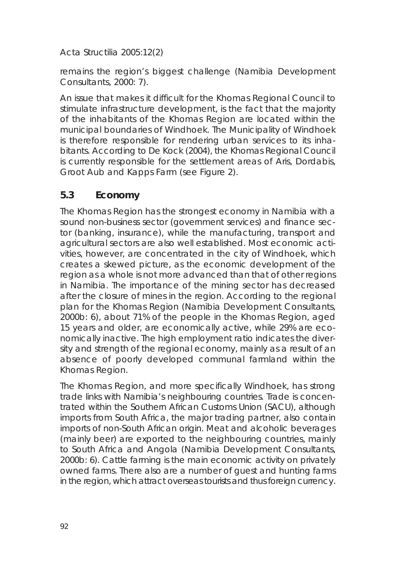remains the region's biggest challenge (Namibia Development Consultants, 2000: 7).

An issue that makes it difficult for the Khomas Regional Council to stimulate infrastructure development, is the fact that the majority of the inhabitants of the Khomas Region are located within the municipal boundaries of Windhoek. The Municipality of Windhoek is therefore responsible for rendering urban services to its inhabitants. According to De Kock (2004), the Khomas Regional Council is currently responsible for the settlement areas of Aris, Dordabis, Groot Aub and Kapps Farm (see Figure 2).

### **5.3 Economy**

The Khomas Region has the strongest economy in Namibia with a sound non-business sector (government services) and finance sector (banking, insurance), while the manufacturing, transport and agricultural sectors are also well established. Most economic activities, however, are concentrated in the city of Windhoek, which creates a skewed picture, as the economic development of the region as a whole is not more advanced than that of other regions in Namibia. The importance of the mining sector has decreased after the closure of mines in the region. According to the regional plan for the Khomas Region (Namibia Development Consultants, 2000b: 6), about 71% of the people in the Khomas Region, aged 15 years and older, are economically active, while 29% are economically inactive. The high employment ratio indicates the diversity and strength of the regional economy, mainly as a result of an absence of poorly developed communal farmland within the Khomas Region.

The Khomas Region, and more specifically Windhoek, has strong trade links with Namibia's neighbouring countries. Trade is concentrated within the Southern African Customs Union (SACU), although imports from South Africa, the major trading partner, also contain imports of non-South African origin. Meat and alcoholic beverages (mainly beer) are exported to the neighbouring countries, mainly to South Africa and Angola (Namibia Development Consultants, 2000b: 6). Cattle farming is the main economic activity on privately owned farms. There also are a number of guest and hunting farms in the region, which attract overseas tourists and thus foreign currency.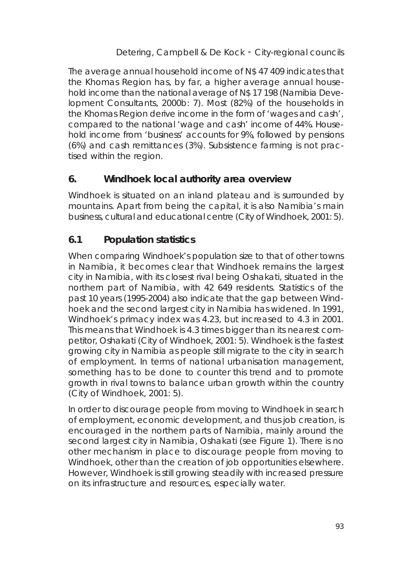The average annual household income of N\$ 47 409 indicates that the Khomas Region has, by far, a higher average annual household income than the national average of N\$ 17 198 (Namibia Development Consultants, 2000b: 7). Most (82%) of the households in the Khomas Region derive income in the form of 'wages and cash', compared to the national 'wage and cash' income of 44%. Household income from 'business' accounts for 9%, followed by pensions (6%) and cash remittances (3%). Subsistence farming is not practised within the region.

#### **6. Windhoek local authority area overview**

Windhoek is situated on an inland plateau and is surrounded by mountains. Apart from being the capital, it is also Namibia's main business, cultural and educational centre (City of Windhoek, 2001: 5).

### **6.1 Population statistics**

When comparing Windhoek's population size to that of other towns in Namibia, it becomes clear that Windhoek remains the largest city in Namibia, with its closest rival being Oshakati, situated in the northern part of Namibia, with 42 649 residents. Statistics of the past 10 years (1995-2004) also indicate that the gap between Windhoek and the second largest city in Namibia has widened. In 1991, Windhoek's primacy index was 4.23, but increased to 4.3 in 2001. This means that Windhoek is 4.3 times bigger than its nearest competitor, Oshakati (City of Windhoek, 2001: 5). Windhoek is the fastest growing city in Namibia as people still migrate to the city in search of employment. In terms of national urbanisation management, something has to be done to counter this trend and to promote growth in rival towns to balance urban growth within the country (City of Windhoek, 2001: 5).

In order to discourage people from moving to Windhoek in search of employment, economic development, and thus job creation, is encouraged in the northern parts of Namibia, mainly around the second largest city in Namibia, Oshakati (see Figure 1). There is no other mechanism in place to discourage people from moving to Windhoek, other than the creation of job opportunities elsewhere. However, Windhoek is still growing steadily with increased pressure on its infrastructure and resources, especially water.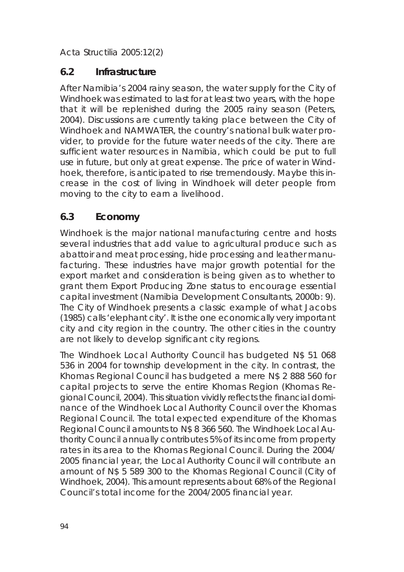### **6.2 Infrastructure**

After Namibia's 2004 rainy season, the water supply for the City of Windhoek was estimated to last for at least two years, with the hope that it will be replenished during the 2005 rainy season (Peters, 2004). Discussions are currently taking place between the City of Windhoek and NAMWATER, the country's national bulk water provider, to provide for the future water needs of the city. There are sufficient water resources in Namibia, which could be put to full use in future, but only at great expense. The price of water in Windhoek, therefore, is anticipated to rise tremendously. Maybe this increase in the cost of living in Windhoek will deter people from moving to the city to earn a livelihood.

# **6.3 Economy**

Windhoek is the major national manufacturing centre and hosts several industries that add value to agricultural produce such as abattoir and meat processing, hide processing and leather manufacturing. These industries have major growth potential for the export market and consideration is being given as to whether to grant them Export Producing Zone status to encourage essential capital investment (Namibia Development Consultants, 2000b: 9). The City of Windhoek presents a classic example of what Jacobs (1985) calls 'elephant city'. It is the one economically very important city and city region in the country. The other cities in the country are not likely to develop significant city regions.

The Windhoek Local Authority Council has budgeted N\$ 51 068 536 in 2004 for township development in the city. In contrast, the Khomas Regional Council has budgeted a mere N\$ 2 888 560 for capital projects to serve the entire Khomas Region (Khomas Regional Council, 2004). This situation vividly reflects the financial dominance of the Windhoek Local Authority Council over the Khomas Regional Council. The total expected expenditure of the Khomas Regional Council amounts to N\$ 8 366 560. The Windhoek Local Authority Council annually contributes 5% of its income from property rates in its area to the Khomas Regional Council. During the 2004/ 2005 financial year, the Local Authority Council will contribute an amount of N\$ 5 589 300 to the Khomas Regional Council (City of Windhoek, 2004). This amount represents about 68% of the Regional Council's total income for the 2004/2005 financial year.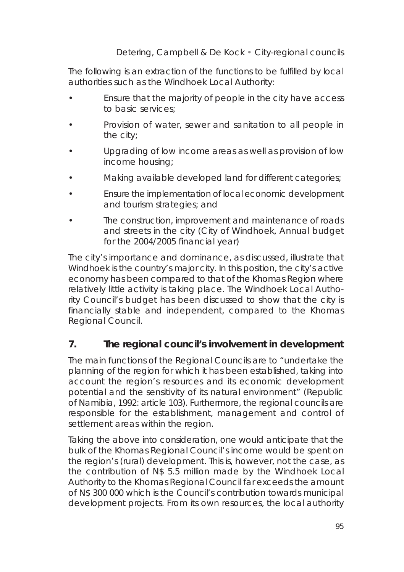The following is an extraction of the functions to be fulfilled by local authorities such as the Windhoek Local Authority:

- Ensure that the majority of people in the city have access to basic services;
- Provision of water, sewer and sanitation to all people in the city;
- Upgrading of low income areas as well as provision of low income housing;
- Making available developed land for different categories;
- Ensure the implementation of local economic development and tourism strategies; and
- The construction, improvement and maintenance of roads and streets in the city (City of Windhoek, Annual budget for the 2004/2005 financial year)

The city's importance and dominance, as discussed, illustrate that Windhoek is the country's major city. In this position, the city's active economy has been compared to that of the Khomas Region where relatively little activity is taking place. The Windhoek Local Authority Council's budget has been discussed to show that the city is financially stable and independent, compared to the Khomas Regional Council.

# **7. The regional council's involvement in development**

The main functions of the Regional Councils are to "undertake the planning of the region for which it has been established, taking into account the region's resources and its economic development potential and the sensitivity of its natural environment" (Republic of Namibia, 1992: article 103). Furthermore, the regional councils are responsible for the establishment, management and control of settlement areas within the region.

Taking the above into consideration, one would anticipate that the bulk of the Khomas Regional Council's income would be spent on the region's (rural) development. This is, however, not the case, as the contribution of N\$ 5.5 million made by the Windhoek Local Authority to the Khomas Regional Council far exceeds the amount of N\$ 300 000 which is the Council's contribution towards municipal development projects. From its own resources, the local authority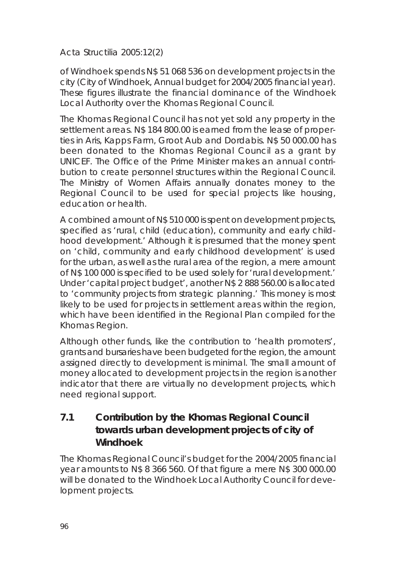of Windhoek spends N\$ 51 068 536 on development projects in the city (City of Windhoek, Annual budget for 2004/2005 financial year). These figures illustrate the financial dominance of the Windhoek Local Authority over the Khomas Regional Council.

The Khomas Regional Council has not yet sold any property in the settlement areas. N\$ 184 800.00 is earned from the lease of properties in Aris, Kapps Farm, Groot Aub and Dordabis. N\$ 50 000.00 has been donated to the Khomas Regional Council as a grant by UNICEF. The Office of the Prime Minister makes an annual contribution to create personnel structures within the Regional Council. The Ministry of Women Affairs annually donates money to the Regional Council to be used for special projects like housing, education or health.

A combined amount of N\$ 510 000 is spent on development projects, specified as 'rural, child (education), community and early childhood development.' Although it is presumed that the money spent on 'child, community and early childhood development' is used for the urban, as well as the rural area of the region, a mere amount of N\$ 100 000 is specified to be used solely for 'rural development.' Under 'capital project budget', another N\$ 2 888 560.00 is allocated to 'community projects from strategic planning.' This money is most likely to be used for projects in settlement areas within the region, which have been identified in the Regional Plan compiled for the Khomas Region.

Although other funds, like the contribution to 'health promoters', grants and bursaries have been budgeted for the region, the amount assigned directly to development is minimal. The small amount of money allocated to development projects in the region is another indicator that there are virtually no development projects, which need regional support.

**7.1 Contribution by the Khomas Regional Council towards urban development projects of city of Windhoek**

The Khomas Regional Council's budget for the 2004/2005 financial year amounts to N\$ 8 366 560. Of that figure a mere N\$ 300 000.00 will be donated to the Windhoek Local Authority Council for development projects.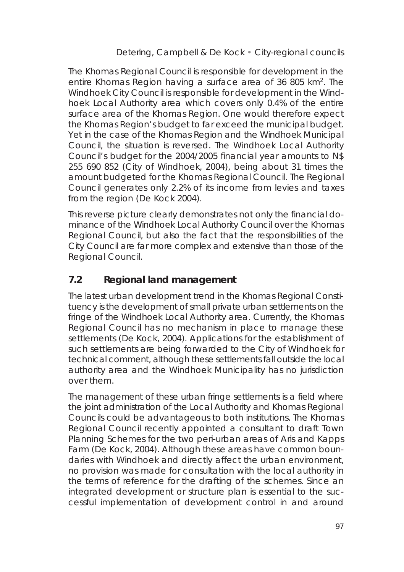The Khomas Regional Council is responsible for development in the entire Khomas Region having a surface area of 36 805 km2. The Windhoek City Council is responsible for development in the Windhoek Local Authority area which covers only 0.4% of the entire surface area of the Khomas Region. One would therefore expect the Khomas Region's budget to far exceed the municipal budget. Yet in the case of the Khomas Region and the Windhoek Municipal Council, the situation is reversed. The Windhoek Local Authority Council's budget for the 2004/2005 financial year amounts to N\$ 255 690 852 (City of Windhoek, 2004), being about 31 times the amount budgeted for the Khomas Regional Council. The Regional Council generates only 2.2% of its income from levies and taxes from the region (De Kock 2004).

This reverse picture clearly demonstrates not only the financial dominance of the Windhoek Local Authority Council over the Khomas Regional Council, but also the fact that the responsibilities of the City Council are far more complex and extensive than those of the Regional Council.

# **7.2 Regional land management**

The latest urban development trend in the Khomas Regional Constituency is the development of small private urban settlements on the fringe of the Windhoek Local Authority area. Currently, the Khomas Regional Council has no mechanism in place to manage these settlements (De Kock, 2004). Applications for the establishment of such settlements are being forwarded to the City of Windhoek for technical comment, although these settlements fall outside the local authority area and the Windhoek Municipality has no jurisdiction over them.

The management of these urban fringe settlements is a field where the joint administration of the Local Authority and Khomas Regional Councils could be advantageous to both institutions. The Khomas Regional Council recently appointed a consultant to draft Town Planning Schemes for the two peri-urban areas of Aris and Kapps Farm (De Kock, 2004). Although these areas have common boundaries with Windhoek and directly affect the urban environment, no provision was made for consultation with the local authority in the terms of reference for the drafting of the schemes. Since an integrated development or structure plan is essential to the successful implementation of development control in and around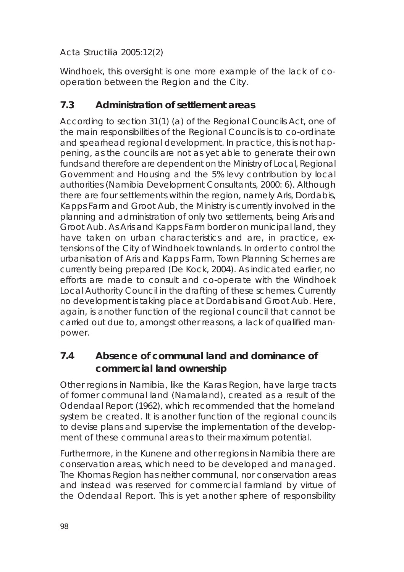Windhoek, this oversight is one more example of the lack of cooperation between the Region and the City.

# **7.3 Administration of settlement areas**

According to section 31(1) (a) of the Regional Councils Act, one of the main responsibilities of the Regional Councils is to co-ordinate and spearhead regional development. In practice, this is not happening, as the councils are not as yet able to generate their own funds and therefore are dependent on the Ministry of Local, Regional Government and Housing and the 5% levy contribution by local authorities (Namibia Development Consultants, 2000: 6). Although there are four settlements within the region, namely Aris, Dordabis, Kapps Farm and Groot Aub, the Ministry is currently involved in the planning and administration of only two settlements, being Aris and Groot Aub. As Aris and Kapps Farm border on municipal land, they have taken on urban characteristics and are, in practice, extensions of the City of Windhoek townlands. In order to control the urbanisation of Aris and Kapps Farm, Town Planning Schemes are currently being prepared (De Kock, 2004). As indicated earlier, no efforts are made to consult and co-operate with the Windhoek Local Authority Council in the drafting of these schemes. Currently no development is taking place at Dordabis and Groot Aub. Here, again, is another function of the regional council that cannot be carried out due to, amongst other reasons, a lack of qualified manpower.

# **7.4 Absence of communal land and dominance of commercial land ownership**

Other regions in Namibia, like the Karas Region, have large tracts of former communal land (Namaland), created as a result of the Odendaal Report (1962), which recommended that the homeland system be created. It is another function of the regional councils to devise plans and supervise the implementation of the development of these communal areas to their maximum potential.

Furthermore, in the Kunene and other regions in Namibia there are conservation areas, which need to be developed and managed. The Khomas Region has neither communal, nor conservation areas and instead was reserved for commercial farmland by virtue of the Odendaal Report. This is yet another sphere of responsibility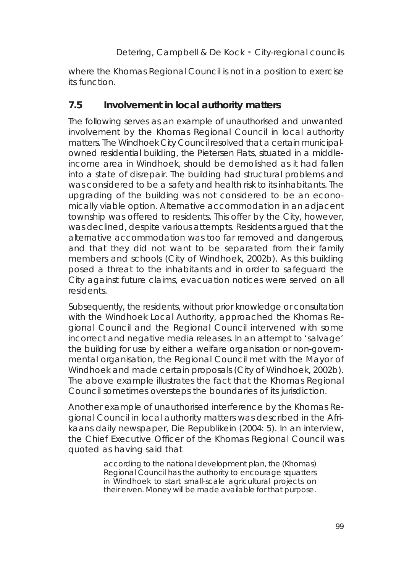where the Khomas Regional Council is not in a position to exercise its function.

### **7.5 Involvement in local authority matters**

The following serves as an example of unauthorised and unwanted involvement by the Khomas Regional Council in local authority matters. The Windhoek City Council resolved that a certain municipalowned residential building, the Pietersen Flats, situated in a middleincome area in Windhoek, should be demolished as it had fallen into a state of disrepair. The building had structural problems and was considered to be a safety and health risk to its inhabitants. The upgrading of the building was not considered to be an economically viable option. Alternative accommodation in an adjacent township was offered to residents. This offer by the City, however, was declined, despite various attempts. Residents argued that the alternative accommodation was too far removed and dangerous, and that they did not want to be separated from their family members and schools (City of Windhoek, 2002b). As this building posed a threat to the inhabitants and in order to safeguard the City against future claims, evacuation notices were served on all residents.

Subsequently, the residents, without prior knowledge or consultation with the Windhoek Local Authority, approached the Khomas Regional Council and the Regional Council intervened with some incorrect and negative media releases. In an attempt to 'salvage' the building for use by either a welfare organisation or non-governmental organisation, the Regional Council met with the Mayor of Windhoek and made certain proposals (City of Windhoek, 2002b). The above example illustrates the fact that the Khomas Regional Council sometimes oversteps the boundaries of its jurisdiction.

Another example of unauthorised interference by the Khomas Regional Council in local authority matters was described in the Afrikaans daily newspaper, *Die Republikein* (2004: 5). In an interview, the Chief Executive Officer of the Khomas Regional Council was quoted as having said that

> *according to the national development plan, the (Khomas) Regional Council has the authority to encourage squatters in Windhoek to start small-scale agricultural projects on their erven. Money will be made available for that purpose.*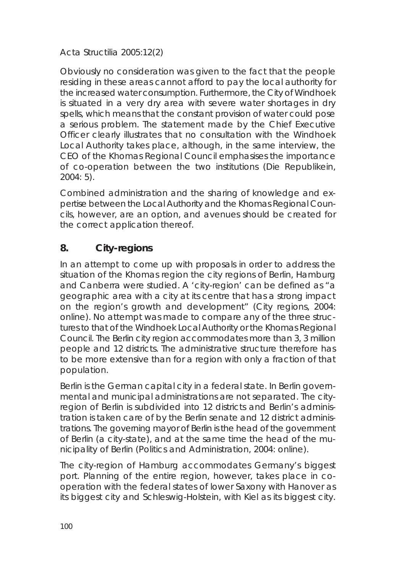Obviously no consideration was given to the fact that the people residing in these areas cannot afford to pay the local authority for the increased water consumption. Furthermore, the City of Windhoek is situated in a very dry area with severe water shortages in dry spells, which means that the constant provision of water could pose a serious problem. The statement made by the Chief Executive Officer clearly illustrates that no consultation with the Windhoek Local Authority takes place, although, in the same interview, the CEO of the Khomas Regional Council emphasises the importance of co-operation between the two institutions (*Die Republikein*, 2004: 5).

Combined administration and the sharing of knowledge and expertise between the Local Authority and the Khomas Regional Councils, however, are an option, and avenues should be created for the correct application thereof.

# **8. City-regions**

In an attempt to come up with proposals in order to address the situation of the Khomas region the city regions of Berlin, Hamburg and Canberra were studied. A 'city-region' can be defined as "a geographic area with a city at its centre that has a strong impact on the region's growth and development" (City regions, 2004: online). No attempt was made to compare any of the three structures to that of the Windhoek Local Authority or the Khomas Regional Council. The Berlin city region accommodates more than 3, 3 million people and 12 districts. The administrative structure therefore has to be more extensive than for a region with only a fraction of that population.

Berlin is the German capital city in a federal state. In Berlin governmental and municipal administrations are not separated. The cityregion of Berlin is subdivided into 12 districts and Berlin's administration is taken care of by the Berlin senate and 12 district administrations. The governing mayor of Berlin is the head of the government of Berlin (a city-state), and at the same time the head of the municipality of Berlin (Politics and Administration, 2004: online).

The city-region of Hamburg accommodates Germany's biggest port. Planning of the entire region, however, takes place in cooperation with the federal states of lower Saxony with Hanover as its biggest city and Schleswig-Holstein, with Kiel as its biggest city.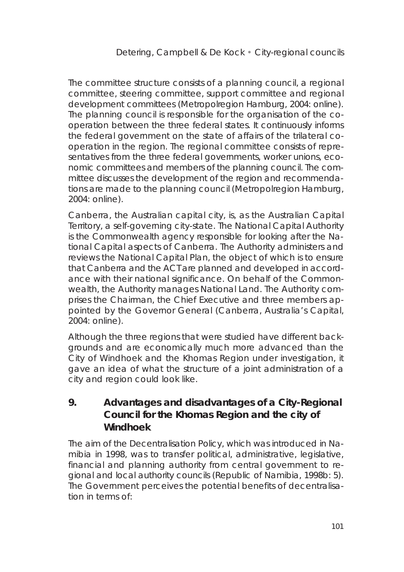The committee structure consists of a planning council, a regional committee, steering committee, support committee and regional development committees (Metropolregion Hamburg, 2004: online). The planning council is responsible for the organisation of the cooperation between the three federal states. It continuously informs the federal government on the state of affairs of the trilateral cooperation in the region. The regional committee consists of representatives from the three federal governments, worker unions, economic committees and members of the planning council. The committee discusses the development of the region and recommendations are made to the planning council (Metropolregion Hamburg, 2004: online).

Canberra, the Australian capital city, is, as the Australian Capital Territory, a self-governing city-state. The National Capital Authority is the Commonwealth agency responsible for looking after the National Capital aspects of Canberra. The Authority administers and reviews the National Capital Plan, the object of which is to ensure that Canberra and the ACT are planned and developed in accordance with their national significance. On behalf of the Commonwealth, the Authority manages National Land. The Authority comprises the Chairman, the Chief Executive and three members appointed by the Governor General (Canberra, Australia's Capital,  $2004 \cdot \text{online}$ 

Although the three regions that were studied have different backgrounds and are economically much more advanced than the City of Windhoek and the Khomas Region under investigation, it gave an idea of what the structure of a joint administration of a city and region could look like.

**9. Advantages and disadvantages of a City-Regional Council for the Khomas Region and the city of Windhoek**

The aim of the Decentralisation Policy, which was introduced in Namibia in 1998, was to transfer political, administrative, legislative, financial and planning authority from central government to regional and local authority councils (Republic of Namibia, 1998b: 5). The Government perceives the potential benefits of decentralisation in terms of: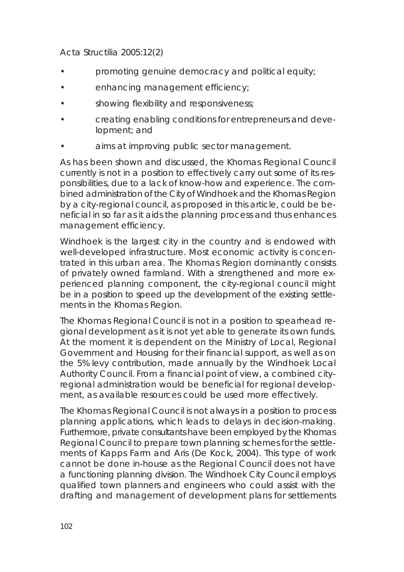- promoting genuine democracy and political equity;
- enhancing management efficiency;
- showing flexibility and responsiveness;
- creating enabling conditions for entrepreneurs and development; and
- aims at improving public sector management.

As has been shown and discussed, the Khomas Regional Council currently is not in a position to effectively carry out some of its responsibilities, due to a lack of know-how and experience. The combined administration of the City of Windhoek and the Khomas Region by a city-regional council, as proposed in this article, could be beneficial in so far as it aids the planning process and thus enhances management efficiency.

Windhoek is the largest city in the country and is endowed with well-developed infrastructure. Most economic activity is concentrated in this urban area. The Khomas Region dominantly consists of privately owned farmland. With a strengthened and more experienced planning component, the city-regional council might be in a position to speed up the development of the existing settlements in the Khomas Region.

The Khomas Regional Council is not in a position to spearhead regional development as it is not yet able to generate its own funds. At the moment it is dependent on the Ministry of Local, Regional Government and Housing for their financial support, as well as on the 5% levy contribution, made annually by the Windhoek Local Authority Council. From a financial point of view, a combined cityregional administration would be beneficial for regional development, as available resources could be used more effectively.

The Khomas Regional Council is not always in a position to process planning applications, which leads to delays in decision-making. Furthermore, private consultants have been employed by the Khomas Regional Council to prepare town planning schemes for the settlements of Kapps Farm and Aris (De Kock, 2004). This type of work cannot be done in-house as the Regional Council does not have a functioning planning division. The Windhoek City Council employs qualified town planners and engineers who could assist with the drafting and management of development plans for settlements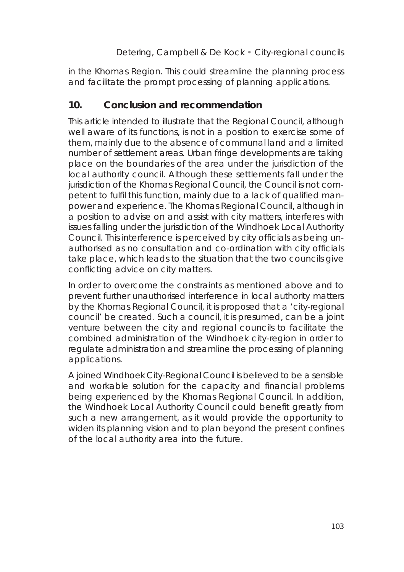in the Khomas Region. This could streamline the planning process and facilitate the prompt processing of planning applications.

# **10. Conclusion and recommendation**

This article intended to illustrate that the Regional Council, although well aware of its functions, is not in a position to exercise some of them, mainly due to the absence of communal land and a limited number of settlement areas. Urban fringe developments are taking place on the boundaries of the area under the jurisdiction of the local authority council. Although these settlements fall under the jurisdiction of the Khomas Regional Council, the Council is not competent to fulfil this function, mainly due to a lack of qualified manpower and experience. The Khomas Regional Council, although in a position to advise on and assist with city matters, interferes with issues falling under the jurisdiction of the Windhoek Local Authority Council. This interference is perceived by city officials as being unauthorised as no consultation and co-ordination with city officials take place, which leads to the situation that the two councils give conflicting advice on city matters.

In order to overcome the constraints as mentioned above and to prevent further unauthorised interference in local authority matters by the Khomas Regional Council, it is proposed that a 'city-regional council' be created. Such a council, it is presumed, can be a joint venture between the city and regional councils to facilitate the combined administration of the Windhoek city-region in order to regulate administration and streamline the processing of planning applications.

A joined Windhoek City-Regional Council is believed to be a sensible and workable solution for the capacity and financial problems being experienced by the Khomas Regional Council. In addition, the Windhoek Local Authority Council could benefit greatly from such a new arrangement, as it would provide the opportunity to widen its planning vision and to plan beyond the present confines of the local authority area into the future.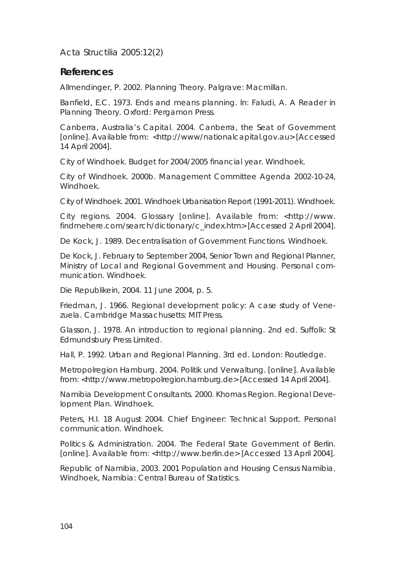**References**

Allmendinger, P. 2002. *Planning Theory*. Palgrave: Macmillan.

Banfield, E.C. 1973. Ends and means planning. In: Faludi, A. *A Reader in Planning Theory*. Oxford: Pergamon Press.

Canberra, Australia's Capital. 2004. *Canberra, the Seat of Government* [online]. Available from: <http://www/nationalcapital.gov.au> [Accessed 14 April 2004].

City of Windhoek. Budget for 2004/2005 financial year. Windhoek.

City of Windhoek. 2000b. Management Committee Agenda 2002-10-24, Windhoek.

City of Windhoek. 2001. Windhoek Urbanisation Report (1991-2011). Windhoek.

City regions. 2004. *Glossary* [online]. Available from: <http://www. findmehere.com/search/dictionary/c\_index.htm> [Accessed 2 April 2004].

De Kock, J. 1989. Decentralisation of Government Functions. Windhoek.

De Kock, J. February to September 2004, Senior Town and Regional Planner, Ministry of Local and Regional Government and Housing. Personal communication. Windhoek.

Die Republikein, 2004. 11 June 2004, p. 5.

Friedman, J. 1966. *Regional development policy: A case study of Venezuela*. Cambridge Massachusetts: MIT Press.

Glasson, J. 1978. *An introduction to regional planning*. 2nd ed. Suffolk: St Edmundsbury Press Limited.

Hall, P. 1992. *Urban and Regional Planning*. 3rd ed. London: Routledge.

Metropolregion Hamburg. 2004. *Politik und Verwaltung*. [online]. Available from: <http://www.metropolregion.hamburg.de> [Accessed 14 April 2004].

Namibia Development Consultants. 2000. Khomas Region. Regional Development Plan. Windhoek.

Peters, H.I. 18 August 2004. Chief Engineer: Technical Support. Personal communication. Windhoek.

Politics & Administration. 2004. *The Federal State Government of Berlin*. [online]. Available from: <http://www.berlin.de> [Accessed 13 April 2004].

Republic of Namibia, 2003. *2001 Population and Housing Census Namibia*. Windhoek, Namibia: Central Bureau of Statistics.